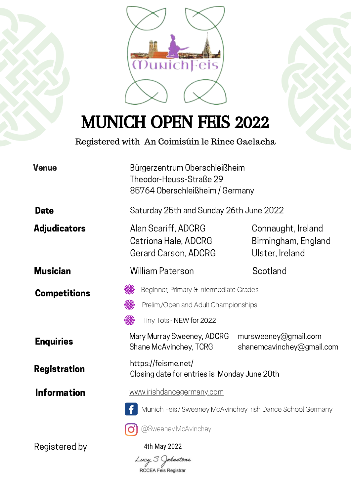

MUNICH OPEN FEIS 2022

Registered with An Coimisúin le Rince Gaelacha

| <b>Venue</b>        | Bürgerzentrum Oberschleißheim<br>Theodor-Heuss-Straße 29<br>85764 Oberschleißheim / Germany                 |                                                              |  |  |  |
|---------------------|-------------------------------------------------------------------------------------------------------------|--------------------------------------------------------------|--|--|--|
| <b>Date</b>         | Saturday 25th and Sunday 26th June 2022                                                                     |                                                              |  |  |  |
| <b>Adjudicators</b> | Alan Scariff, ADCRG<br>Catriona Hale, ADCRG<br>Gerard Carson, ADCRG                                         | Connaught, Ireland<br>Birmingham, England<br>Ulster, Ireland |  |  |  |
| <b>Musician</b>     | William Paterson                                                                                            | Scotland                                                     |  |  |  |
| <b>Competitions</b> | Beginner, Primary & Intermediate Grades<br>Prelim,/Open and Adult Championships<br>Tiny Tots - NEW for 2022 |                                                              |  |  |  |
| <b>Enquiries</b>    | Mary Murray Sweeney, ADCRG<br>mursweeney@gmail.com<br>Shane McAvinchey, TCRG<br>shanemcavinchey@gmail.com   |                                                              |  |  |  |
| <b>Registration</b> | https://feisme.net/<br>Closing date for entries is Monday June 20th                                         |                                                              |  |  |  |
| <b>Information</b>  | www.irishdancegermany.com<br>Munich Feis / Sweeney McAvinchey Irish Dance School Germany                    |                                                              |  |  |  |
|                     |                                                                                                             |                                                              |  |  |  |
|                     | @Sweeney McAvinchey                                                                                         |                                                              |  |  |  |
| Registered by       | 4th May 2022<br>Lucy S Johnstone<br>RCCEA Feis Registrar                                                    |                                                              |  |  |  |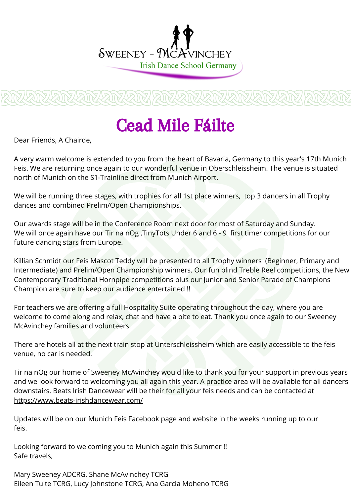

# Cead Mile Fáilte

Dear Friends, A Chairde,

A very warm welcome is extended to you from the heart of Bavaria, Germany to this year's 17th Munich Feis. We are returning once again to our wonderful venue in Oberschleissheim. The venue is situated north of Munich on the S1-Trainline direct from Munich Airport.

We will be running three stages, with trophies for all 1st place winners, top 3 dancers in all Trophy dances and combined Prelim/Open Championships.

Our awards stage will be in the Conference Room next door for most of Saturday and Sunday. We will once again have our Tir na nOg , TinyTots Under 6 and 6 - 9 first timer competitions for our future dancing stars from Europe.

Killian Schmidt our Feis Mascot Teddy will be presented to all Trophy winners (Beginner, Primary and Intermediate) and Prelim/Open Championship winners. Our fun blind Treble Reel competitions, the New Contemporary Traditional Hornpipe competitions plus our Junior and Senior Parade of Champions Champion are sure to keep our audience entertained !!

For teachers we are offering a full Hospitality Suite operating throughout the day, where you are welcome to come along and relax, chat and have a bite to eat. Thank you once again to our Sweeney McAvinchey families and volunteers.

There are hotels all at the next train stop at Unterschleissheim which are easily accessible to the feis venue, no car is needed.

Tir na nOg our home of Sweeney McAvinchey would like to thank you for your support in previous years and we look forward to welcoming you all again this year. A practice area will be available for all dancers downstairs. Beats Irish Dancewear will be their for all your feis needs and can be contacted at <https://www.beats-irishdancewear.com/>

Updates will be on our Munich Feis Facebook page and website in the weeks running up to our feis.

Looking forward to welcoming you to Munich again this Summer !! Safe travels,

Mary Sweeney ADCRG, Shane McAvinchey TCRG Eileen Tuite TCRG, Lucy Johnstone TCRG, Ana Garcia Moheno TCRG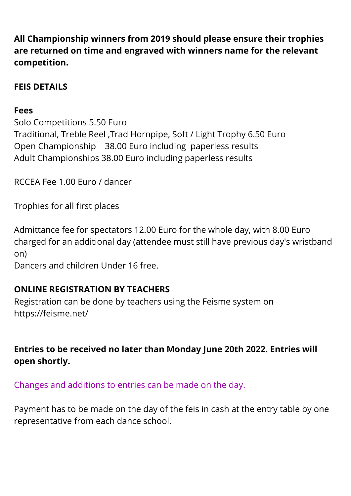**All Championship winners from 2019 should please ensure their trophies are returned on time and engraved with winners name for the relevant competition.**

## **FEIS DETAILS**

## **Fees**

Solo Competitions 5.50 Euro Traditional, Treble Reel ,Trad Hornpipe, Soft / Light Trophy 6.50 Euro Open Championship 38.00 Euro including paperless results Adult Championships 38.00 Euro including paperless results

RCCEA Fee 1.00 Euro / dancer

Trophies for all first places

Admittance fee for spectators 12.00 Euro for the whole day, with 8.00 Euro charged for an additional day (attendee must still have previous day's wristband on)

Dancers and children Under 16 free.

## **ONLINE REGISTRATION BY TEACHERS**

Registration can be done by teachers using the Feisme system on https://feisme.net/

**Entries to be received no later than Monday June 20th 2022. Entries will open shortly.**

Changes and additions to entries can be made on the day.

Payment has to be made on the day of the feis in cash at the entry table by one representative from each dance school.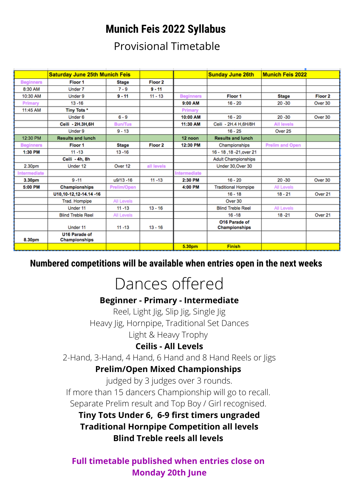## **Munich Feis 2022 Syllabus**

Provisional Timetable

|                    | <b>Saturday June 25th Munich Feis</b> |                    |                    |                     | <b>Sunday June 26th</b>                      | <b>Munich Feis 2022</b> |                    |
|--------------------|---------------------------------------|--------------------|--------------------|---------------------|----------------------------------------------|-------------------------|--------------------|
| <b>Beginners</b>   | Floor 1                               | <b>Stage</b>       | Floor <sub>2</sub> |                     |                                              |                         |                    |
| 8:30 AM            | Under 7                               | $7 - 9$            | $9 - 11$           |                     |                                              |                         |                    |
| 10:30 AM           | Under 9                               | $9 - 11$           | $11 - 13$          | <b>Beginners</b>    | Floor 1                                      | <b>Stage</b>            | Floor <sub>2</sub> |
| Primary            | $13 - 16$                             |                    |                    | 9:00 AM             | $16 - 20$                                    | $20 - 30$               | Over 30            |
| 11:45 AM           | Tiny Tots *                           |                    |                    | Primary             |                                              |                         |                    |
|                    | Under 6                               | $6 - 9$            |                    | 10:00 AM            | $16 - 20$                                    | $20 - 30$               | Over 30            |
|                    | Ceili - 2H.3H,6H                      | <b>Bun/Tus</b>     |                    | 11:30 AM            | Ceili - 2H.4 H,6H/8H                         | <b>All levels</b>       |                    |
|                    | Under 9                               | $9 - 13$           |                    |                     | $16 - 25$                                    | Over 25                 |                    |
| 12:30 PM           | <b>Results and lunch</b>              |                    |                    | 12 noon             | <b>Results and lunch</b>                     |                         |                    |
| <b>Beginners</b>   | Floor 1                               | <b>Stage</b>       | Floor <sub>2</sub> | 12:30 PM            | Championships                                | <b>Prelim and Open</b>  |                    |
| 1:30 PM            | $11 - 13$                             | $13 - 16$          |                    |                     | 16 - 18, 18 - 21, over 21                    |                         |                    |
|                    | Ceili - 4h, 8h                        |                    |                    |                     | <b>Adult Championships</b>                   |                         |                    |
| 2.30 <sub>pm</sub> | Under 12                              | Over 12            | all levels         |                     | Under 30, Over 30                            |                         |                    |
| Intermediate       |                                       |                    |                    | <b>Intermediate</b> |                                              |                         |                    |
| 3.30pm             | $9 - 11$                              | u9/13 -16          | $11 - 13$          | 2:30 PM             | $16 - 20$                                    | $20 - 30$               | Over 30            |
| 5:00 PM            | Championships                         | <b>Prelim/Open</b> |                    | 4:00 PM             | <b>Traditional Hornpipe</b>                  | <b>All Levels</b>       |                    |
|                    | U10,10-12,12-14.14 -16                |                    |                    |                     | $16 - 18$                                    | $18 - 21$               | Over 21            |
|                    | Trad. Hompipe                         | All Levels         |                    |                     | Over 30                                      |                         |                    |
|                    | Under 11                              | $11 - 13$          | $13 - 16$          |                     | <b>Blind Treble Reel</b>                     | <b>All Levels</b>       |                    |
|                    | <b>Blind Treble Reel</b>              | All Levels         |                    |                     | $16 - 18$                                    | $18 - 21$               | Over 21            |
|                    | Under 11                              | $11 - 13$          | $13 - 16$          |                     | <b>O16 Parade of</b><br><b>Championships</b> |                         |                    |
| 8.30pm             | <b>U16 Parade of</b><br>Championships |                    |                    |                     |                                              |                         |                    |
|                    |                                       |                    |                    | 5.30pm              | <b>Finish</b>                                |                         |                    |

## **Numbered competitions will be available when entries open in the next weeks**

# Dances offered

### **Beginner - Primary - Intermediate**

Reel, Light Jig, Slip Jig, Single Jig Heavy Jig, Hornpipe, Traditional Set Dances Light & Heavy Trophy

### **Ceilis - All Levels**

2-Hand, 3-Hand, 4 Hand, 6 Hand and 8 Hand Reels or Jigs

### **Prelim/Open Mixed Championships**

judged by 3 judges over 3 rounds. If more than 15 dancers Championship will go to recall. Separate Prelim result and Top Boy / Girl recognised.

**Tiny Tots Under 6, 6-9 first timers ungraded Traditional Hornpipe Competition all levels Blind Treble reels all levels**

**Full timetable published when entries close on Monday 20th June**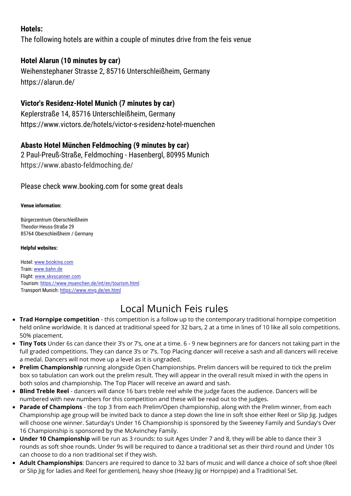#### **Hotels:**

The following hotels are within a couple of minutes drive from the feis venue

#### **Hotel Alarun (10 minutes by car)**

Weihenstephaner Strasse 2, 85716 Unterschleißheim, Germany https://alarun.de/

#### **Victor's Residenz-Hotel Munich (7 minutes by car)**

Keplerstraße 14, 85716 Unterschleißheim, Germany https://www.victors.de/hotels/victor-s-residenz-hotel-muenchen

#### **Abasto Hotel München Feldmoching (9 minutes by car)**

2 Paul-Preuß-Straße, Feldmoching - Hasenbergl, 80995 Munich https://www.abasto-feldmoching.de/

#### Please check www.booking.com for some great deals

#### **Venue information:**

Bürgerzentrum Oberschleißheim Theodor-Heuss-Straße 29 85764 Oberschleißheim / Germany

#### **Helpful websites:**

Hotel: [www.booking.com](http://www.booking.com/) Train: [www.bahn.de](http://www.bahn.de/) Flight: [www.skyscanner.com](http://www.skyscanner.com/) Tourism: <https://www.muenchen.de/int/en/tourism.html> Transport Munich: <https://www.mvg.de/en.html>

## Local Munich Feis rules

- **Trad Hornpipe competition** this competition is a follow up to the contemporary traditional hornpipe competition held online worldwide. It is danced at traditional speed for 32 bars, 2 at a time in lines of 10 like all solo competitions. 50% placement.
- **Tiny Tots** Under 6s can dance their 3's or 7's, one at a time. 6 9 new beginners are for dancers not taking part in the full graded competitions. They can dance 3's or 7's. Top Placing dancer will receive a sash and all dancers will receive a medal. Dancers will not move up a level as it is ungraded.
- **Prelim Championship** running alongside Open Championships. Prelim dancers will be required to tick the prelim box so tabulation can work out the prelim result. They will appear in the overall result mixed in with the opens in both solos and championship. The Top Placer will receive an award and sash.
- **Blind Treble Reel** dancers will dance 16 bars treble reel while the judge faces the audience. Dancers will be numbered with new numbers for this competition and these will be read out to the judges.
- **Parade of Champions** the top 3 from each Prelim/Open championship, along with the Prelim winner, from each Championship age group will be invited back to dance a step down the line in soft shoe either Reel or Slip Jig. Judges will choose one winner. Saturday's Under 16 Championship is sponsored by the Sweeney Family and Sunday's Over 16 Championship is sponsored by the McAvinchey Family.
- **Under 10 Championship** will be run as 3 rounds: to suit Ages Under 7 and 8, they will be able to dance their 3 rounds as soft shoe rounds. Under 9s will be required to dance a traditional set as their third round and Under 10s can choose to do a non traditional set if they wish.
- **Adult Championships**: Dancers are required to dance to 32 bars of music and will dance a choice of soft shoe (Reel or Slip Jig for ladies and Reel for gentlemen), heavy shoe (Heavy Jig or Hornpipe) and a Traditional Set.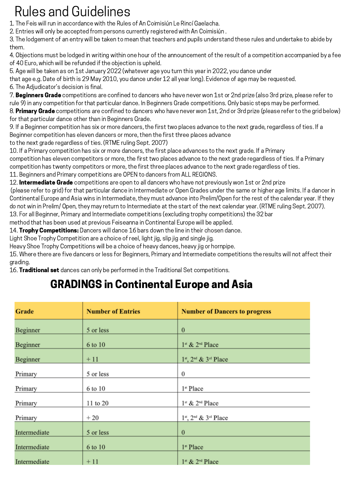# Rules and Guidelines

- 1. The Feis will run in accordance with the Rules of An Coimisiún Le Rincí Gaelacha.
- 2. Entries will only be accepted from persons currently registered with An Coimisiún .

3. The lodgement of an entry will be taken to mean that teachers and pupils understand these rules and undertake to abide by them.

4. Objections must be lodged in writing within one hour of the announcement of the result of a competition accompanied by a fee of 40 Euro, which will be refunded if the objection is upheld.

5. Age will be taken as on 1st January 2022 (whatever age you turn this year in 2022, you dance under

that age e.g. Date of birth is 29 May 2010, you dance under 12 all year long). Evidence of age may be requested.

6. The Adjudicator's decision is final.

7. **Beginners Grade** competitions are confined to dancers who have never won 1st or 2nd prize (also 3rd prize, please refer to rule 9) in any competition for that particular dance. In Beginners Grade competitions. Only basic steps may be performed. 8. Primary Grade competitions are confined to dancers who have never won 1st, 2nd or 3rd prize (please refer to the grid below) for that particular dance other than in Beginners Grade.

9. If a Beginner competition has six or more dancers, the first two places advance to the next grade, regardless of ties. If a Beginner competition has eleven dancers or more, then the first three places advance

to the next grade regardless of ties. (RTME ruling Sept. 2007)

10. If a Primary competition has six or more dancers, the first place advances to the next grade. If a Primary competition has eleven competitors or more, the first two places advance to the next grade regardless of ties. If a Primary competition has twenty competitors or more, the first three places advance to the next grade regardless of ties.

11. Beginners and Primary competitions are OPEN to dancers from ALL REGIONS.

12. Intermediate Grade competitions are open to all dancers who have not previously won 1st or 2nd prize

(please refer to grid) for that particular dance in Intermediate or Open Grades under the same or higher age limits. If a dancer in Continental Europe and Asia wins in Intermediate, they must advance into Prelim/Open for the rest of the calendar year. If they do not win in Prelim/ Open, they may return to Intermediate at the start of the next calendar year. (RTME ruling Sept. 2007). 13. For all Beginner, Primary and Intermediate competitions (excluding trophy competitions) the 32 bar

method that has been used at previous Feiseanna in Continental Europe will be applied.

14. Trophy Competitions: Dancers will dance 16 bars down the line in their chosen dance.

Light Shoe Trophy Competition are a choice of reel, light jig, slip jig and single jig.

Heavy Shoe Trophy Competitions will be a choice of heavy dances, heavy jig or hornpipe.

15. Where there are five dancers or less for Beginners, Primary and Intermediate competitions the results will not affect their grading.

16. Traditional set dances can only be performed in the Traditional Set competitions.

## GRADINGS in Continental Europe and Asia

| Grade        | <b>Number of Entries</b> | <b>Number of Dancers to progress</b>    |
|--------------|--------------------------|-----------------------------------------|
| Beginner     | 5 or less                | $\boldsymbol{0}$                        |
| Beginner     | 6 to 10                  | 1st & 2 <sup>nd</sup> Place             |
| Beginner     | $+11$                    | $1^{st}$ , $2^{nd}$ & $3^{rd}$ Place    |
| Primary      | 5 or less                | $\boldsymbol{0}$                        |
| Primary      | 6 to 10                  | 1 <sup>st</sup> Place                   |
| Primary      | 11 to 20                 | 1st & 2 <sup>nd</sup> Place             |
| Primary      | $+20$                    | $1^{st}$ , $2^{nd}$ & $3^{rd}$ Place    |
| Intermediate | 5 or less                | $\mathbf{0}$                            |
| Intermediate | 6 to 10                  | 1 <sup>st</sup> Place                   |
| Intermediate | $+11$                    | $1^{\text{st}}$ & $2^{\text{nd}}$ Place |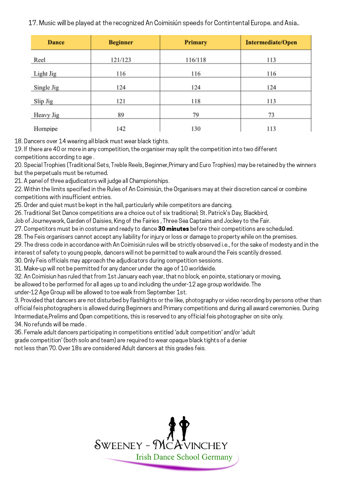17. Music will be played at the recognized An Coimisiún speeds for Contintental Europe. and Asia..

| <b>Dance</b> | <b>Beginner</b> | <b>Primary</b> | Intermediate/Open |
|--------------|-----------------|----------------|-------------------|
| Reel         | 121/123         | 116/118        | 113               |
| Light Jig    | 116             | 116            | 116               |
| Single Jig   | 124             | 124            | 124               |
| Slip Jig     | 121             | 118            | 113               |
| Heavy Jig    | 89              | 79             | 73                |
| Hornpipe     | 142             | 130            | 113               |

18. Dancers over 14 wearing all black must wear black tights.

19. If there are 40 or more in any competition, the organiser may split the competition into two different competitions according to age .

20. Special Trophies (Traditional Sets, Treble Reels, Beginner,Primary and Euro Trophies) may be retained by the winners but the perpetuals must be returned.

21. A panel of three adjudicators will judge all Championships.

22. Within the limits specified in the Rules of An Coimisiún, the Organisers may at their discretion cancel or combine competitions with insufficient entries.

25. Order and quiet must be kept in the hall, particularly while competitors are dancing.

26. Traditional Set Dance competitions are a choice out of six traditional; St. Patrick's Day, Blackbird,

Job of Journeywork, Garden of Daisies, King of the Fairies , Three Sea Captains and Jockey to the Fair.

27. Competitors must be in costume and ready to dance 30 minutes before their competitions are scheduled.

28. The Feis organisers cannot accept any liability for injury or loss or damage to property while on the premises.

29. The dress code in accordance with An Coimisiún rules will be strictly observed i.e., for the sake of modesty and in the

interest of safety to young people, dancers will not be permitted to walk around the Feis scantily dressed.

30. Only Feis officials may approach the adjudicators during competition sessions.

31. Make-up will not be permitted for any dancer under the age of 10 worldwide.

32. An Coimisiun has ruled that from 1st January each year, that no block, en pointe, stationary or moving,

be allowed to be performed for all ages up to and including the under-12 age group worldwide. The

under-12 Age Group will be allowed to toe walk from September 1st.

3. Provided that dancers are not disturbed by flashlights or the like, photography or video recording by persons other than official feis photographers is allowed during Beginners and Primary competitions and during all award ceremonies. During Intermediate,Prelims and Open competitions, this is reserved to any official feis photographer on site only. 34. No refunds will be made .

35. Female adult dancers participating in competitions entitled 'adult competition' and/or 'adult grade competition' (both solo and team) are required to wear opaque black tights of a denier

not less than 70. Over 18s are considered Adult dancers at this grades feis.